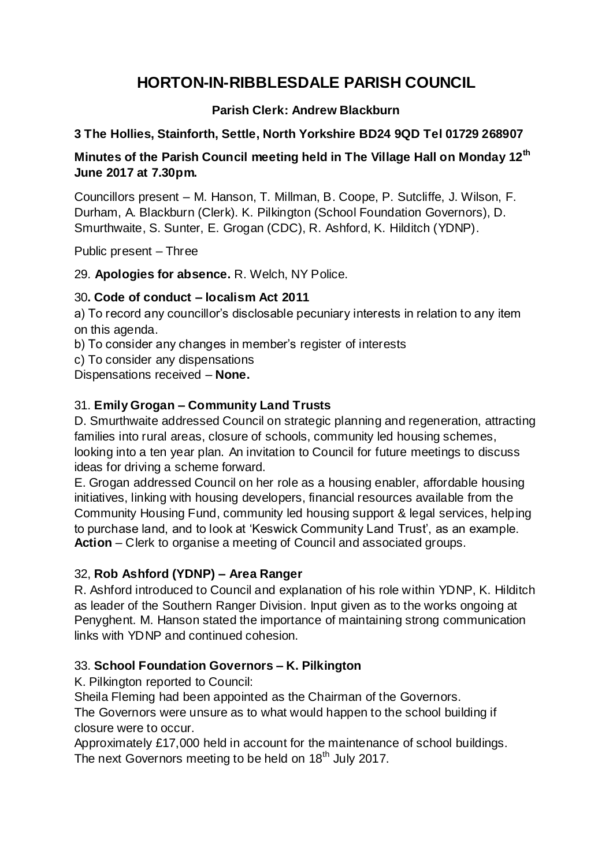# **HORTON-IN-RIBBLESDALE PARISH COUNCIL**

## **Parish Clerk: Andrew Blackburn**

#### **3 The Hollies, Stainforth, Settle, North Yorkshire BD24 9QD Tel 01729 268907**

#### **Minutes of the Parish Council meeting held in The Village Hall on Monday 12 th June 2017 at 7.30pm.**

Councillors present – M. Hanson, T. Millman, B. Coope, P. Sutcliffe, J. Wilson, F. Durham, A. Blackburn (Clerk). K. Pilkington (School Foundation Governors), D. Smurthwaite, S. Sunter, E. Grogan (CDC), R. Ashford, K. Hilditch (YDNP).

Public present – Three

29. **Apologies for absence.** R. Welch, NY Police.

#### 30**. Code of conduct – localism Act 2011**

a) To record any councillor's disclosable pecuniary interests in relation to any item on this agenda.

b) To consider any changes in member's register of interests

c) To consider any dispensations

Dispensations received – **None.**

## 31. **Emily Grogan – Community Land Trusts**

D. Smurthwaite addressed Council on strategic planning and regeneration, attracting families into rural areas, closure of schools, community led housing schemes, looking into a ten year plan. An invitation to Council for future meetings to discuss ideas for driving a scheme forward.

E. Grogan addressed Council on her role as a housing enabler, affordable housing initiatives, linking with housing developers, financial resources available from the Community Housing Fund, community led housing support & legal services, helping to purchase land, and to look at 'Keswick Community Land Trust', as an example. **Action** – Clerk to organise a meeting of Council and associated groups.

## 32, **Rob Ashford (YDNP) – Area Ranger**

R. Ashford introduced to Council and explanation of his role within YDNP, K. Hilditch as leader of the Southern Ranger Division. Input given as to the works ongoing at Penyghent. M. Hanson stated the importance of maintaining strong communication links with YDNP and continued cohesion.

## 33. **School Foundation Governors – K. Pilkington**

K. Pilkington reported to Council:

Sheila Fleming had been appointed as the Chairman of the Governors.

The Governors were unsure as to what would happen to the school building if closure were to occur.

Approximately £17,000 held in account for the maintenance of school buildings. The next Governors meeting to be held on 18<sup>th</sup> July 2017.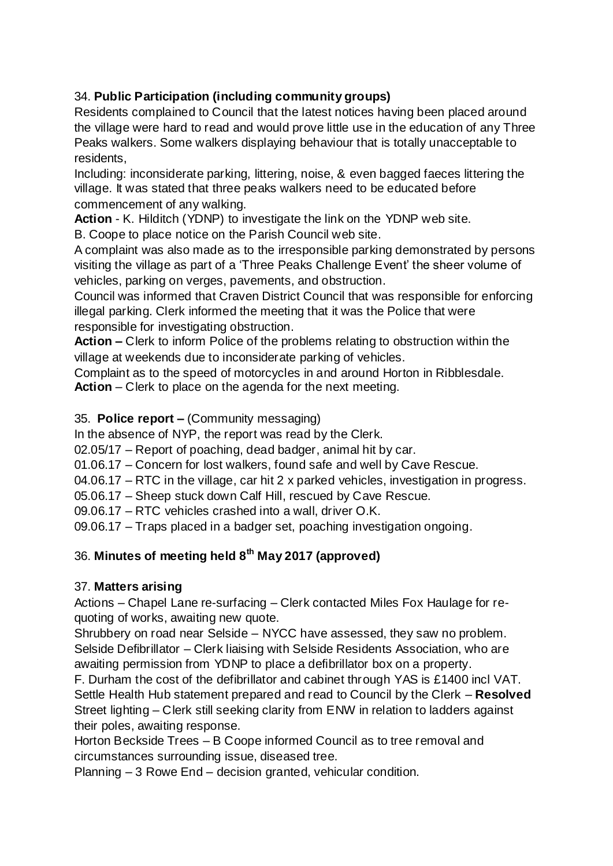# 34. **Public Participation (including community groups)**

Residents complained to Council that the latest notices having been placed around the village were hard to read and would prove little use in the education of any Three Peaks walkers. Some walkers displaying behaviour that is totally unacceptable to residents,

Including: inconsiderate parking, littering, noise, & even bagged faeces littering the village. It was stated that three peaks walkers need to be educated before commencement of any walking.

**Action** - K. Hilditch (YDNP) to investigate the link on the YDNP web site.

B. Coope to place notice on the Parish Council web site.

A complaint was also made as to the irresponsible parking demonstrated by persons visiting the village as part of a 'Three Peaks Challenge Event' the sheer volume of vehicles, parking on verges, pavements, and obstruction.

Council was informed that Craven District Council that was responsible for enforcing illegal parking. Clerk informed the meeting that it was the Police that were responsible for investigating obstruction.

**Action –** Clerk to inform Police of the problems relating to obstruction within the village at weekends due to inconsiderate parking of vehicles.

Complaint as to the speed of motorcycles in and around Horton in Ribblesdale. **Action** – Clerk to place on the agenda for the next meeting.

## 35. **Police report –** (Community messaging)

In the absence of NYP, the report was read by the Clerk.

02.05/17 – Report of poaching, dead badger, animal hit by car.

01.06.17 – Concern for lost walkers, found safe and well by Cave Rescue.

04.06.17 – RTC in the village, car hit 2 x parked vehicles, investigation in progress.

05.06.17 – Sheep stuck down Calf Hill, rescued by Cave Rescue.

09.06.17 – RTC vehicles crashed into a wall, driver O.K.

09.06.17 – Traps placed in a badger set, poaching investigation ongoing.

## 36. **Minutes of meeting held 8 th May 2017 (approved)**

## 37. **Matters arising**

Actions – Chapel Lane re-surfacing – Clerk contacted Miles Fox Haulage for requoting of works, awaiting new quote.

Shrubbery on road near Selside – NYCC have assessed, they saw no problem. Selside Defibrillator – Clerk liaising with Selside Residents Association, who are awaiting permission from YDNP to place a defibrillator box on a property.

F. Durham the cost of the defibrillator and cabinet through YAS is £1400 incl VAT. Settle Health Hub statement prepared and read to Council by the Clerk – **Resolved** Street lighting – Clerk still seeking clarity from ENW in relation to ladders against their poles, awaiting response.

Horton Beckside Trees – B Coope informed Council as to tree removal and circumstances surrounding issue, diseased tree.

Planning – 3 Rowe End – decision granted, vehicular condition.